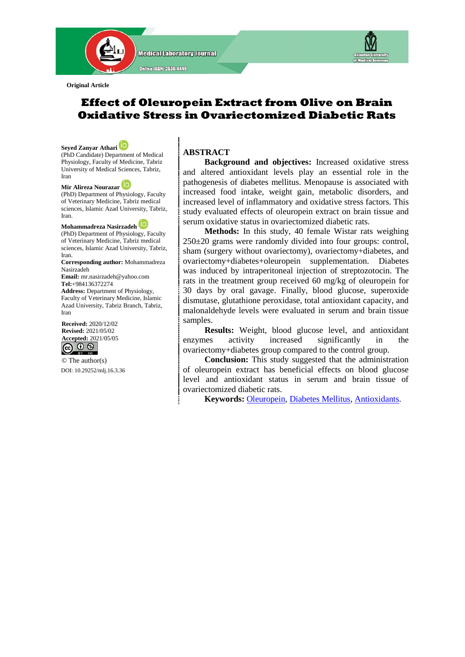

**Original Article**

# **Effect of Oleuropein Extract from Olive on Brain Oxidative Stress in Ovariectomized Diabetic Rats**

**Seyed Zanyar Athari** (PhD Candidate) Department of Medical Physiology, Faculty of Medicine, Tabriz University of Medical Sciences, Tabriz, Iran

**Mir Alireza Nourazar** (PhD) Department of Physiology, Faculty of Veterinary Medicine, Tabriz medical sciences, Islamic Azad University, Tabriz, Iran.

**Mohammadreza Nasirzadeh** (PhD) Department of Physiology, Faculty of Veterinary Medicine, Tabriz medical sciences, Islamic Azad University, Tabriz, Iran.

**Corresponding author:** Mohammadreza Nasirzadeh **Email:** [mr.nasirzadeh@yahoo.com](mailto:mr.nasirzadeh@yahoo.com) **Tel:**[+984136372274](Tel:+984136372274)

**Address:** Department of Physiology, Faculty of Veterinary Medicine, Islamic Azad University, Tabriz Branch, Tabriz, Iran

**Received:** 2020/12/02 **Revised:** 2021/05/02 **Accepted:** 2021/05/05

© The author(s) DOI[: 10.29252/mlj.16.3.36](file:///E:/semnani/2020/4%20Jul-Aug%202020/1-article%20A-10-913-1-nasir/10.29252/mlj.14.4.1)

## **ABSTRACT**

 **Background and objectives:** Increased oxidative stress and altered antioxidant levels play an essential role in the pathogenesis of diabetes mellitus. Menopause is associated with increased food intake, weight gain, metabolic disorders, and increased level of inflammatory and oxidative stress factors. This study evaluated effects of oleuropein extract on brain tissue and serum oxidative status in ovariectomized diabetic rats.

 **Methods:** In this study, 40 female Wistar rats weighing 250±20 grams were randomly divided into four groups: control, sham (surgery without ovariectomy), ovariectomy+diabetes, and ovariectomy+diabetes+oleuropein supplementation. Diabetes was induced by intraperitoneal injection of streptozotocin. The rats in the treatment group received 60 mg/kg of oleuropein for 30 days by oral gavage. Finally, blood glucose, superoxide dismutase, glutathione peroxidase, total antioxidant capacity, and malonaldehyde levels were evaluated in serum and brain tissue samples.

 **Results:** Weight, blood glucose level, and antioxidant enzymes activity increased significantly in the ovariectomy+diabetes group compared to the control group.

 **Conclusion:** This study suggested that the administration of oleuropein extract has beneficial effects on blood glucose level and antioxidant status in serum and brain tissue of ovariectomized diabetic rats.

 **Keywords:** [Oleuropein,](https://www.ncbi.nlm.nih.gov/mesh/67002769) [Diabetes Mellitus,](https://www.ncbi.nlm.nih.gov/mesh/68003920) [Antioxidants.](https://www.ncbi.nlm.nih.gov/mesh/68000975)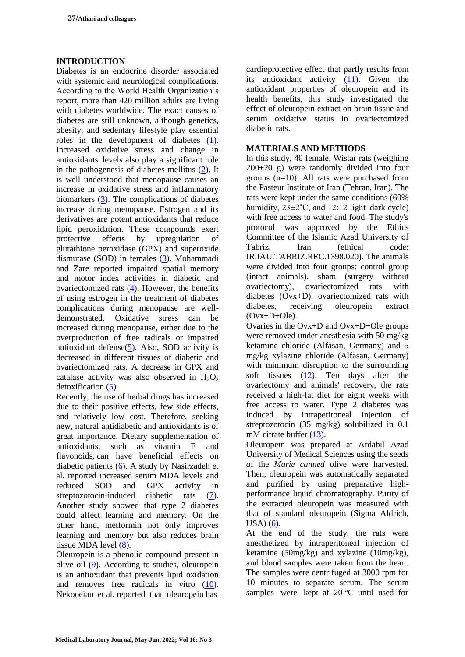### **INTRODUCTION**

Diabetes is an endocrine disorder associated with systemic and neurological complications. According to the World Health Organization's report, more than 420 million adults are living with diabetes worldwide. The exact causes of diabetes are still unknown, although genetics, obesity, and sedentary lifestyle play essential roles in the development of diabetes [\(1\)](#page-4-3). Increased oxidative stress and change in antioxidants' levels also play a significant role in the pathogenesis of diabetes mellitus [\(2\)](#page-4-4). It is well understood that menopause causes an increase in oxidative stress and inflammatory biomarkers [\(3\)](#page-1-0). The complications of diabetes increase during menopause. Estrogen and its derivatives are potent antioxidants that reduce lipid peroxidation. These compounds exert protective effects by upregulation of glutathione peroxidase (GPX) and superoxide dismutase (SOD) in females [\(3\)](#page-1-0). Mohammadi and Zare reported impaired spatial memory and motor index activities in diabetic and ovariectomized rats [\(4\)](#page-4-5). However, the benefits of using estrogen in the treatment of diabetes complications during menopause are welldemonstrated. Oxidative stress can be increased during menopause, either due to the overproduction of free radicals or impaired antioxidant defense[\(5\)](#page-4-6). Also, SOD activity is decreased in different tissues of diabetic and ovariectomized rats. A decrease in GPX and catalase activity was also observed in  $H_2O_2$ detoxification  $(5)$ .

Recently, the use of herbal drugs has increased due to their positive effects, few side effects, and relatively low cost. Therefore, seeking new, natural antidiabetic and antioxidants is of great importance. Dietary supplementation of antioxidants, such as vitamin E and flavonoids, can have beneficial effects on diabetic patients [\(6\)](#page-4-2). A study by Nasirzadeh et al. reported increased serum MDA levels and reduced SOD and GPX activity in streptozotocin-induced diabetic rats [\(7\)](#page-4-7). Another study showed that type 2 diabetes could affect learning and memory. On the other hand, metformin not only improves learning and memory but also reduces brain tissue MDA level [\(8\)](#page-4-8).

Oleuropein is a phenolic compound present in olive oil [\(9\)](#page-4-9). According to studies, oleuropein is an antioxidant that prevents lipid oxidation and removes free radicals in vitro [\(10\)](#page-4-10). Nekooeian et al. reported that oleuropein has

cardioprotective effect that partly results from its antioxidant activity  $(11)$ . Given the antioxidant properties of oleuropein and its health benefits, this study investigated the effect of oleuropein extract on brain tissue and serum oxidative status in ovariectomized diabetic rats.

### **MATERIALS AND METHODS**

In this study, 40 female, Wistar rats (weighing 200±20 g) were randomly divided into four groups (n=10). All rats were purchased from the Pasteur Institute of Iran (Tehran, Iran). The rats were kept under the same conditions (60% humidity,  $23 \pm 2^{\circ}$ C, and 12:12 light–dark cycle) with free access to water and food. The study's protocol was approved by the Ethics Committee of the Islamic Azad University of Tabriz, Iran (ethical code: IR.IAU.TABRIZ.REC.1398.020). The animals were divided into four groups: control group (intact animals), sham (surgery without ovariectomy), ovariectomized rats with diabetes (Ovx+D), ovariectomized rats with diabetes, receiving oleuropein extract  $(Ovx+D+Ole)$ .

<span id="page-1-0"></span>Ovaries in the Ovx+D and Ovx+D+Ole groups were removed under anesthesia with 50 mg/kg ketamine chloride (Alfasan, Germany) and 5 mg/kg xylazine chloride (Alfasan, Germany) with minimum disruption to the surrounding soft tissues [\(12\)](#page-4-1). Ten days after the ovariectomy and animals' recovery, the rats received a high-fat diet for eight weeks with free access to water. Type 2 diabetes was induced by intraperitoneal injection of streptozotocin (35 mg/kg) solubilized in 0.1 mM citrate buffer [\(13\)](#page-5-0).

Oleuropein was prepared at Ardabil Azad University of Medical Sciences using the seeds of the *Marie canned* olive were harvested. Then, oleuropein was automatically separated and purified by using preparative highperformance liquid chromatography. Purity of the extracted oleuropein was measured with that of standard oleuropein (Sigma Aldrich,  $USA) (6)$  $USA) (6)$ .

At the end of the study, the rats were anesthetized by intraperitoneal injection of ketamine (50mg/kg) and xylazine (10mg/kg), and blood samples were taken from the heart. The samples were centrifuged at 3000 rpm for 10 minutes to separate serum. The serum samples were kept at -20 $\degree$ C until used for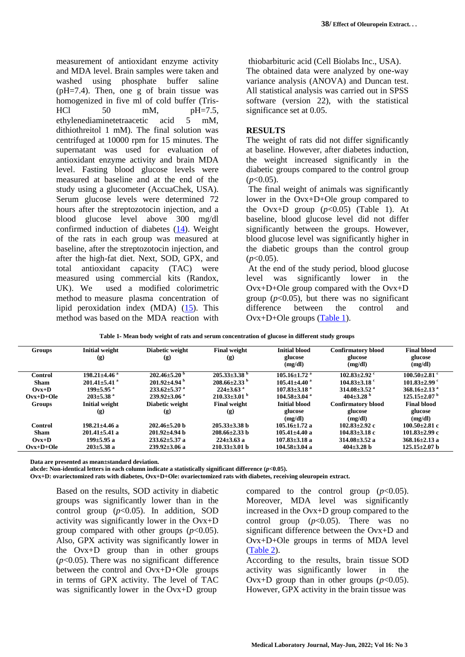measurement of antioxidant enzyme activity and MDA level. Brain samples were taken and washed using phosphate buffer saline  $(pH=7.4)$ . Then, one g of brain tissue was homogenized in five ml of cold buffer (Tris-HCl  $50 \text{ mM}$ ,  $pH=7.5$ , ethylenediaminetetraacetic acid 5 mM, dithiothreitol 1 mM). The final solution was centrifuged at 10000 rpm for 15 minutes. The supernatant was used for evaluation of antioxidant enzyme activity and brain MDA level. Fasting blood glucose levels were measured at baseline and at the end of the study using a glucometer (AccuaChek, USA). Serum glucose levels were determined 72 hours after the streptozotocin injection, and a blood glucose level above 300 mg/dl confirmed induction of diabetes [\(14\)](#page-5-1). Weight of the rats in each group was measured at baseline, after the streptozotocin injection, and after the high-fat diet. Next, SOD, GPX, and total antioxidant capacity (TAC) were measured using commercial kits (Randox, UK). We used a modified colorimetric method to measure plasma concentration of lipid peroxidation index  $(MDA)$   $(15)$ . This method was based on the MDA reaction with

thiobarbituric acid (Cell Biolabs Inc., USA). The obtained data were analyzed by one-way variance analysis (ANOVA) and Duncan test. All statistical analysis was carried out in SPSS software (version 22), with the statistical significance set at 0.05.

### **RESULTS**

The weight of rats did not differ significantly at baseline. However, after diabetes induction, the weight increased significantly in the diabetic groups compared to the control group  $(p<0.05)$ .

The final weight of animals was significantly lower in the Ovx+D+Ole group compared to the Ovx+D group  $(p<0.05)$  (Table 1). At baseline, blood glucose level did not differ significantly between the groups. However, blood glucose level was significantly higher in the diabetic groups than the control group  $(p<0.05)$ .

At the end of the study period, blood glucose level was significantly lower in the Ovx+D+Ole group compared with the Ovx+D group  $(p<0.05)$ , but there was no significant difference between the control and Ovx+D+Ole groups [\(Table 1\)](#page-2-0).

| <b>Groups</b>  | <b>Initial weight</b><br>(g)   | Diabetic weight<br>(g)         | <b>Final weight</b><br>(g)     | <b>Initial blood</b><br>glucose<br>(mg/dl) | <b>Confirmatory blood</b><br>glucose<br>(mg/dl) | <b>Final blood</b><br>glucose<br>(mg/dl) |
|----------------|--------------------------------|--------------------------------|--------------------------------|--------------------------------------------|-------------------------------------------------|------------------------------------------|
| Control        | $198.21 \pm 4.46$ <sup>a</sup> | $202.46 \pm 5.20^{\circ}$      | $205.33\pm3.38$ <sup>b</sup>   | $105.16 \pm 1.72$ <sup>a</sup>             | $102.83 \pm 2.92$ c                             | $100.50 \pm 2.81$ c                      |
| <b>Sham</b>    | $201.41 \pm 5.41$ <sup>a</sup> | $201.92 \pm 4.94$ <sup>b</sup> | $208.66 \pm 2.33$ <sup>b</sup> | $105.41 \pm 4.40$ <sup>a</sup>             | $104.83 \pm 3.18$ °                             | $101.83 \pm 2.99$ c                      |
| $Ovx+D$        | $199 \pm 5.95$ <sup>a</sup>    | $233.62 \pm 5.37$ <sup>a</sup> | $224 \pm 3.63$ <sup>a</sup>    | $107.83 \pm 3.18$ <sup>a</sup>             | $314.08 \pm 3.52$ <sup>a</sup>                  | $368.16 \pm 2.13$ <sup>a</sup>           |
| $Ovx+D+Ole$    | $203 \pm 5.38$ <sup>a</sup>    | $239.92 \pm 3.06$ <sup>a</sup> | $210.33\pm3.01$ b              | $104.58 \pm 3.04$ <sup>a</sup>             | 404 $\pm$ 3.28 $^{\circ}$                       | $125.15 \pm 2.07$ <sup>b</sup>           |
| <b>Groups</b>  | <b>Initial weight</b>          | Diabetic weight                | <b>Final weight</b>            | <b>Initial blood</b>                       | <b>Confirmatory blood</b>                       | <b>Final blood</b>                       |
|                | (g)                            | (g)                            | (g)                            | glucose                                    | glucose                                         | glucose                                  |
|                |                                |                                |                                | (mg/dl)                                    | (mg/dl)                                         | (mg/dl)                                  |
| <b>Control</b> | $198.21 \pm 4.46$ a            | $202.46 \pm 5.20$ h            | $205.33 \pm 3.38$ h            | $105.16 \pm 1.72$ a                        | $102.83 \pm 2.92$ c                             | $100.50 \pm 2.81$ c                      |
| <b>Sham</b>    | $201.41 \pm 5.41$ a            | $201.92 \pm 4.94$ b            | $208.66 \pm 2.33$ b            | $105.41 \pm 4.40$ a                        | $104.83 \pm 3.18$ c                             | $101.83 \pm 2.99$ c                      |
| $Ovx+D$        | $199 \pm 5.95$ a               | $233.62 \pm 5.37$ a            | $224 \pm 3.63$ a               | $107.83 \pm 3.18$ a                        | $314.08 \pm 3.52$ a                             | $368.16 \pm 2.13$ a                      |
| $Ovx+D+Ole$    | $203 \pm 5.38$ a               | $239.92 \pm 3.06$ a            | $210.33 \pm 3.01$ b            | $104.58 \pm 3.04$ a                        | $404 \pm 3.28$ b                                | $125.15 \pm 2.07$ b                      |

<span id="page-2-0"></span>**Table 1- Mean body weight of rats and serum concentration of glucose in different study groups**

**Data are presented as mean±standard deviation.**

**abcde: Non-identical letters in each column indicate a statistically significant difference (***p***<0.05).**

**Ovx+D: ovariectomized rats with diabetes, Ovx+D+Ole: ovariectomized rats with diabetes, receiving oleuropein extract.**

Based on the results, SOD activity in diabetic groups was significantly lower than in the control group  $(p<0.05)$ . In addition, SOD activity was significantly lower in the Ovx+D group compared with other groups  $(p<0.05)$ . Also, GPX activity was significantly lower in the Ovx+D group than in other groups  $(p<0.05)$ . There was no significant difference between the control and Ovx+D+Ole groups in terms of GPX activity. The level of TAC was significantly lower in the Ovx+D group

compared to the control group  $(p<0.05)$ . Moreover, MDA level was significantly increased in the Ovx+D group compared to the control group  $(p<0.05)$ . There was no significant difference between the Ovx+D and Ovx+D+Ole groups in terms of MDA level  $(Table 2)$ .

According to the results, brain tissue SOD activity was significantly lower in the Ovx+D group than in other groups  $(p<0.05)$ . However, GPX activity in the brain tissue was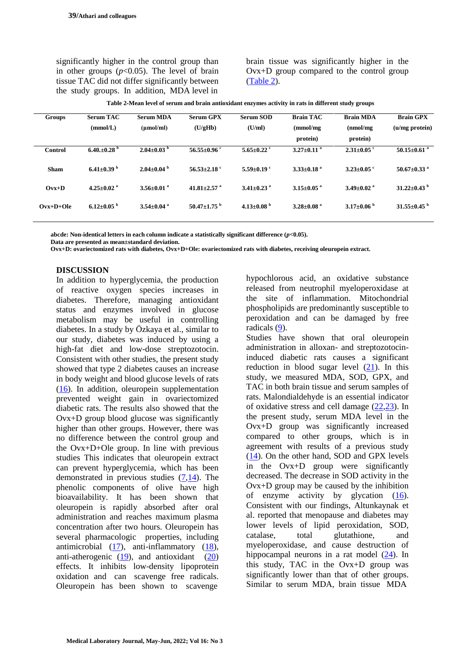significantly higher in the control group than in other groups  $(p<0.05)$ . The level of brain tissue TAC did not differ significantly between the study groups. In addition, MDA level in

brain tissue was significantly higher in the Ovx+D group compared to the control group [\(Table 2\)](#page-3-0).

<span id="page-3-0"></span>

| Table 2-Mean level of serum and brain antioxidant enzymes activity in rats in different study groups |  |  |
|------------------------------------------------------------------------------------------------------|--|--|
|                                                                                                      |  |  |
|                                                                                                      |  |  |

| <b>Serum GPX</b>            | <b>Serum SOD</b> | <b>Brain TAC</b>                                                                                                         | <b>Brain MDA</b>             | <b>Brain GPX</b>              |
|-----------------------------|------------------|--------------------------------------------------------------------------------------------------------------------------|------------------------------|-------------------------------|
| (U/gHb)                     | (U/ml)           | (mmol/mg)                                                                                                                | (nmol/mg)                    | $(u/mg)$ protein)             |
|                             |                  | protein)                                                                                                                 | protein)                     |                               |
| $56.55 \pm 0.96$ °          |                  | $3.27 \pm 0.11$ <sup>a</sup>                                                                                             | $2.31 \pm 0.05$ °            | $50.15 \pm 0.61$ <sup>a</sup> |
| $56.53 \pm 2.18$ °          |                  | $3.33 \pm 0.18$ <sup>a</sup>                                                                                             | $3.23 \pm 0.05$ °            | $50.67 \pm 0.33$ <sup>a</sup> |
| 41.81 $\pm$ 2.57 $^{\circ}$ |                  | $3.15 \pm 0.05$ <sup>a</sup>                                                                                             | $3.49 \pm 0.02$ <sup>a</sup> | $31.22 \pm 0.43$ <sup>b</sup> |
| $50.47 + 1.75$ <sup>b</sup> |                  | $3.28 \pm 0.08$ <sup>a</sup>                                                                                             | $3.17\pm0.06$ b              | $31.55 \pm 0.45$ <sup>b</sup> |
|                             |                  | $5.65 \pm 0.22$ <sup>c</sup><br>$5.59+0.19$ <sup>c</sup><br>$3.41 \pm 0.23$ <sup>a</sup><br>4.13 $\pm$ 0.08 <sup>b</sup> |                              |                               |

**abcde: Non-identical letters in each column indicate a statistically significant difference (***p***<0.05).**

**Data are presented as mean±standard deviation.**

**Ovx+D: ovariectomized rats with diabetes, Ovx+D+Ole: ovariectomized rats with diabetes, receiving oleuropein extract.**

#### **DISCUSSION**

In addition to hyperglycemia, the production of reactive oxygen species increases in diabetes. Therefore, managing antioxidant status and enzymes involved in glucose metabolism may be useful in controlling diabetes. In a study by Özkaya et al., similar to our study, diabetes was induced by using a high-fat diet and low-dose streptozotocin. Consistent with other studies, the present study showed that type 2 diabetes causes an increase in body weight and blood glucose levels of rats [\(16\)](#page-5-6). In addition, oleuropein supplementation prevented weight gain in ovariectomized diabetic rats. The results also showed that the Ovx+D group blood glucose was significantly higher than other groups. However, there was no difference between the control group and the Ovx+D+Ole group. In line with previous studies This indicates that oleuropein extract can prevent hyperglycemia, which has been demonstrated in previous studies [\(7](#page-4-7)[,14\)](#page-5-1). The phenolic components of olive have high bioavailability. It has been shown that oleuropein is rapidly absorbed after oral administration and reaches maximum plasma concentration after two hours. Oleuropein has several pharmacologic properties, including antimicrobial [\(17\)](#page-5-8), anti-inflammatory [\(18\)](#page-5-9), anti-atherogenic  $(19)$ , and antioxidant  $(20)$ effects. It inhibits low-density lipoprotein oxidation and can scavenge free radicals. Oleuropein has been shown to scavenge

hypochlorous acid, an oxidative substance released from neutrophil myeloperoxidase at the site of inflammation. Mitochondrial phospholipids are predominantly susceptible to peroxidation and can be damaged by free radicals [\(9\)](#page-4-9).

Studies have shown that oral oleuropein administration in alloxan- and streptozotocininduced diabetic rats causes a significant reduction in blood sugar level [\(21\)](#page-5-3). In this study, we measured MDA, SOD, GPX, and TAC in both brain tissue and serum samples of rats. Malondialdehyde is an essential indicator of oxidative stress and cell damage [\(22](#page-5-4)[,23\)](#page-5-5). In the present study, serum MDA level in the Ovx+D group was significantly increased compared to other groups, which is in agreement with results of a previous study [\(14\)](#page-5-1). On the other hand, SOD and GPX levels in the Ovx+D group were significantly decreased. The decrease in SOD activity in the Ovx+D group may be caused by the inhibition of enzyme activity by glycation  $(16)$ . Consistent with our findings, Altunkaynak et al. reported that menopause and diabetes may lower levels of lipid peroxidation, SOD, catalase, total glutathione, and myeloperoxidase, and cause destruction of hippocampal neurons in a rat model  $(24)$ . In this study, TAC in the Ovx+D group was significantly lower than that of other groups. Similar to serum MDA, brain tissue MDA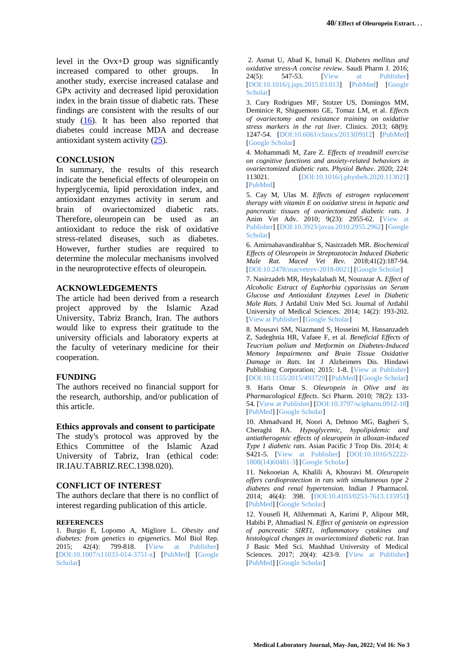level in the Ovx+D group was significantly increased compared to other groups. In another study, exercise increased catalase and GPx activity and decreased lipid peroxidation index in the brain tissue of diabetic rats. These findings are consistent with the results of our study [\(16\)](#page-5-6). It has been also reported that diabetes could increase MDA and decrease antioxidant system activity [\(25\)](#page-5-12).

#### **CONCLUSION**

In summary, the results of this research indicate the beneficial effects of oleuropein on hyperglycemia, lipid peroxidation index, and antioxidant enzymes activity in serum and brain of ovariectomized diabetic rats. Therefore, oleuropein can be used as an antioxidant to reduce the risk of oxidative stress-related diseases, such as diabetes. However, further studies are required to determine the molecular mechanisms involved in the neuroprotective effects of oleuropein*.*

#### **ACKNOWLEDGEMENTS**

The article had been derived from a research project approved by the Islamic Azad University, Tabriz Branch, Iran. The authors would like to express their gratitude to the university officials and laboratory experts at the faculty of veterinary medicine for their cooperation.

#### **FUNDING**

The authors received no financial support for the research, authorship, and/or publication of this article.

#### **Ethics approvals and consent to participate**

The study's protocol was approved by the Ethics Committee of the Islamic Azad University of Tabriz, Iran (ethical code: IR.IAU.TABRIZ.REC.1398.020).

### **CONFLICT OF INTEREST**

The authors declare that there is no conflict of interest regarding publication of this article.

#### **REFERENCES**

<span id="page-4-3"></span>1. Burgio E, Lopomo A, Migliore L. *Obesity and diabetes: from genetics to epigenetics.* Mol Biol Rep. 2015; 42(4): 799-818. [View at [Publisher\]](https://link.springer.com/article/10.1007/s11033-014-3751-z) [\[DOI:10.1007/s11033-014-3751-z\]](https://doi.org/10.1007/s11033-014-3751-z) [\[PubMed\]](https://pubmed.ncbi.nlm.nih.gov/25253098/) [\[Google](https://scholar.google.com/scholar?hl=en&as_sdt=0%2C5&q=Burgio+E%2C+Lopomo+A%2C+Migliore+L.+Obesity+and+diabetes%3A+from+genetics+to+epigenetics.+Mol+Biol+Rep.+2015+Apr+25%3B42%284%29%3A799-818.&btnG=) [Scholar\]](https://scholar.google.com/scholar?hl=en&as_sdt=0%2C5&q=Burgio+E%2C+Lopomo+A%2C+Migliore+L.+Obesity+and+diabetes%3A+from+genetics+to+epigenetics.+Mol+Biol+Rep.+2015+Apr+25%3B42%284%29%3A799-818.&btnG=)

<span id="page-4-4"></span>2. Asmat U, Abad K, Ismail K. *Diabetes mellitus and oxidative stress-A concise review.* Saudi Pharm J. 2016; 24(5): 547-53. [View at [Publisher\]](https://www.sciencedirect.com/science/article/pii/S1319016415000766) [\[DOI:10.1016/j.jsps.2015.03.013\]](https://doi.org/10.1016/j.jsps.2015.03.013) [\[PubMed\]](https://pubmed.ncbi.nlm.nih.gov/27752226/) [\[Google](https://scholar.google.com/scholar?hl=en&as_sdt=0%2C5&q=Asmat+U%2C+Abad+K%2C+Ismail+K.+Diabetes+mellitus+and+oxidative+stress-A+concise+review.+Saudi+Pharm+J.+2016%3B+24%285%29%3A+547-53.&btnG=) [Scholar\]](https://scholar.google.com/scholar?hl=en&as_sdt=0%2C5&q=Asmat+U%2C+Abad+K%2C+Ismail+K.+Diabetes+mellitus+and+oxidative+stress-A+concise+review.+Saudi+Pharm+J.+2016%3B+24%285%29%3A+547-53.&btnG=)

3. Cury Rodrigues MF, Stotzer US, Domingos MM, Deminice R, Shiguemoto GE, Tomaz LM, et al. *Effects of ovariectomy and resistance training on oxidative stress markers in the rat liver.* Clinics. 2013; 68(9): 1247-54. [\[DOI:10.6061/clinics/2013\(09\)12\]](https://doi.org/10.6061/clinics/2013(09)12) [\[PubMed\]](https://pubmed.ncbi.nlm.nih.gov/24141842/) [Google [Scholar\]](https://scholar.google.com/scholar?hl=en&as_sdt=0%2C5&q=Cury+Rodrigues+MF%2C+Stotzer+US%2C+Domingos+MM%2C+Deminice+R%2C+Shiguemoto+GE%2C+Tomaz+LM%2C+et+al.+Effects+of+ovariectomy+and+resistance+training+on+oxidative+stress+markers+in+the+rat+liver.+Clinic)

<span id="page-4-5"></span>4. Mohammadi M, Zare Z. *Effects of treadmill exercise on cognitive functions and anxiety-related behaviors in ovariectomized diabetic rats. Physiol Behav*. 2020; 224: 113021. [\[DOI:10.1016/j.physbeh.2020.113021\]](https://doi.org/10.1016/j.physbeh.2020.113021) [\[PubMed\]](https://pubmed.ncbi.nlm.nih.gov/32569602/)

<span id="page-4-6"></span>5. Cay M, Ulas M. *Effects of estrogen replacement therapy with vitamin E on oxidative stress in hepatic and pancreatic tissues of ovariectomized diabetic rats*. J Anim Vet Adv. 2010; 9(23): 2955-62. [\[View](https://www.cabdirect.org/cabdirect/abstract/20103379419) at [Publisher\]](https://www.cabdirect.org/cabdirect/abstract/20103379419) [\[DOI:10.3923/javaa.2010.2955.2962\]](https://doi.org/10.3923/javaa.2010.2955.2962) [\[Google](https://scholar.google.com/scholar?hl=en&as_sdt=0%2C5&q=Cay+M%2C+Ulas+M.+Effects+of+estrogen+replacement+therapy+with+vitamin+E+on+oxidative+stress+in+hepatic+and+pancreatic+tissues+of+ovariectomized+diabetic+rats.+J+Anim+Vet+Adv.+2010%3B9%2823%29%3A2955-) **Scholarl** 

<span id="page-4-2"></span>6. Amirnahavandirahbar S, Nasirzadeh MR. *Biochemical Effects of Oleuropein in Streptozotocin Induced Diabetic Male Rat. Maced Vet Rev.* 2018;41(2):187-94. [\[DOI:10.2478/macvetrev-2018-0021\]](https://doi.org/10.2478/macvetrev-2018-0021) [Google [Scholar\]](https://scholar.google.com/scholar?hl=en&as_sdt=0%2C5&q=Amirnahavandirahbar+S%2C+Nasirzadeh+MR.+Biochemical+Effects+of+Oleuropein+in+Streptozotocin+Induced+Diabetic+Male+Rat.+Maced+Vet+Rev.+2018%3B41%282%29%3A187-94.&btnG=)

<span id="page-4-7"></span>7. Nasirzadeh MR, Heykalabadi M, Nourazar A. *Effect of Alcoholic Extract of Euphorbia cyparissias on Serum Glucose and Antioxidant Enzymes Level in Diabetic Male Rats.* J Ardabil Univ Med Sci. Journal of Ardabil University of Medical Sciences. 2014; 14(2): 193-202. [View at [Publisher\]](https://jarums.arums.ac.ir/article-1-641-en.html) [Google [Scholar\]](https://scholar.google.com/scholar?hl=en&as_sdt=0%2C5&q=Nasirzadeh+MR%2C+Heykalabadi+M%2C+Nourazar+A.+Effect+of+Alcoholic+Extract+of+Euphorbia+cyparissias+on+Serum+Glucose+and+Antioxidant+Enzymes+Level+in+Diabetic+Male+Rats.+J+Ardabil+Univ+Med+Sci.+Journa)

<span id="page-4-8"></span>8. Mousavi SM, Niazmand S, Hosseini M, Hassanzadeh Z, Sadeghnia HR, Vafaee F, et al. *Beneficial Effects of Teucrium polium and Metformin on Diabetes-Induced Memory Impairments and Brain Tissue Oxidative Damage in Rats.* Int J Alzheimers Dis. Hindawi Publishing Corporation; 2015: 1-8. [View at [Publisher\]](https://www.hindawi.com/journals/ijad/2015/493729/) [\[DOI:10.1155/2015/493729\]](https://doi.org/10.1155/2015/493729) [\[PubMed\]](https://pubmed.ncbi.nlm.nih.gov/25810947/) [Google [Scholar\]](https://scholar.google.com/scholar?hl=en&as_sdt=0%2C5&q=Mousavi+SM%2C+Niazmand+S%2C+Hosseini+M%2C+Hassanzadeh+Z%2C+Sadeghnia+HR%2C+Vafaee+F%2C+et+al.+Beneficial+Effects+of+Teucrium+polium+and+Metformin+on+Diabetes-Induced+Memory+Impairments+and+Brain+Tiss)

<span id="page-4-9"></span>9. Haris Omar S. *Oleuropein in Olive and its Pharmacological Effects*. Sci Pharm. 2010; 78(2): 133- 54. [View at [Publisher\]](https://www.mdpi.com/2218-0532/78/2/133) [\[DOI:10.3797/scipharm.0912-18\]](https://doi.org/10.3797/scipharm.0912-18) [\[PubMed\]](https://pubmed.ncbi.nlm.nih.gov/21179340/) [Google [Scholar\]](https://scholar.google.com/scholar?hl=en&as_sdt=0%2C5&q=Haris+Omar+S.+Oleuropein+in+Olive+and+its+Pharmacological+Effects.+Sci+Pharm.+2010%3B78%282%29%3A133-54.&btnG=)

<span id="page-4-10"></span>10. Ahmadvand H, Noori A, Dehnoo MG, Bagheri S, Cheraghi RA. *Hypoglycemic, hypolipidemic and antiatherogenic effects of oleuropein in alloxan-induced Type 1 diabetic rats.* Asian Pacific J Trop Dis. 2014; 4: S421-5. [View at [Publisher\]](https://www.sciencedirect.com/science/article/abs/pii/S2222180814604813) [\[DOI:10.1016/S2222-](https://doi.org/10.1016/S2222-1808(14)60481-3) [1808\(14\)60481-3\]](https://doi.org/10.1016/S2222-1808(14)60481-3) [Google [Scholar\]](https://scholar.google.com/scholar?hl=en&as_sdt=0%2C5&q=Ahmadvand+H%2C+Noori+A%2C+Dehnoo+MG%2C+Bagheri+S%2C+Cheraghi+RA.+Hypoglycemic%2C+hypolipidemic+and+antiatherogenic+effects+of+oleuropein+in+alloxan-induced+Type+1+diabetic+rats.+Asian+Pacific+J+Trop+)

<span id="page-4-0"></span>11. Nekooeian A, Khalili A, Khosravi M. *Oleuropein offers cardioprotection in rats with simultaneous type 2 diabetes and renal hypertension.* Indian J Pharmacol. 2014; 46(4): 398. [\[DOI:10.4103/0253-7613.135951\]](https://doi.org/10.4103/0253-7613.135951) [\[PubMed\]](https://pubmed.ncbi.nlm.nih.gov/25097277/) [Google [Scholar\]](https://scholar.google.com/scholar?hl=en&as_sdt=0%2C5&q=Nekooeian+A%2C+Khalili+A%2C+Khosravi+M.+Oleuropein+offers+cardioprotection+in+rats+with+simultaneous+type+2+diabetes+and+renal+hypertension.+Indian+J+Pharmacol.+2014%3B+46%284%29%3A+398.&btnG=)

<span id="page-4-1"></span>12. Yousefi H, Alihemmati A, Karimi P, Alipour MR, Habibi P, Ahmadiasl N. *Effect of genistein on expression of pancreatic SIRT1, inflammatory cytokines and histological changes in ovariectomized diabetic rat*. Iran J Basic Med Sci. Mashhad University of Medical Sciences. 2017; 20(4): 423-9. [View at [Publisher\]](https://ijbms.mums.ac.ir/article_8585.html) [\[PubMed\]](https://pubmed.ncbi.nlm.nih.gov/28804612/) [Google [Scholar\]](https://scholar.google.com/scholar?hl=en&as_sdt=0%2C5&q=Yousefi+H%2C+Alihemmati+A%2C+Karimi+P%2C+Alipour+MR%2C+Habibi+P%2C+Ahmadiasl+N.+Effect+of+genistein+on+expression+of+pancreatic+SIRT1%2C+inflammatory+cytokines+and+histological+changes+in+ovariectomi)